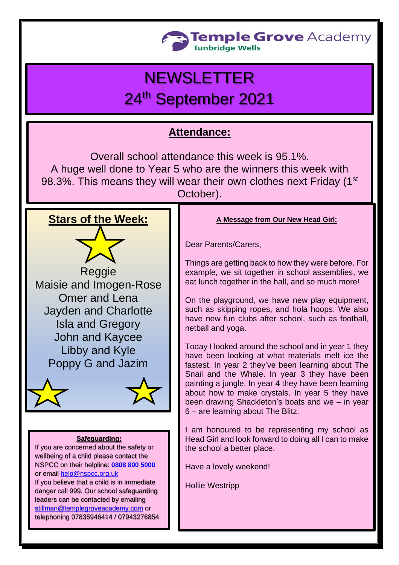

## **NEWSLETTER** 24th September 2021

## **Attendance:**

Overall school attendance this week is 95.1%. A huge well done to Year 5 who are the winners this week with 98.3%. This means they will wear their own clothes next Friday (1st October).

## **Stars of the Week:**

Reggie Maisie and Imogen-Rose Omer and Lena Jayden and Charlotte Isla and Gregory John and Kaycee Libby and Kyle Poppy G and Jazim



#### **Safeguarding:**

If you are concerned about the safety or wellbeing of a child please contact the NSPCC on their helpline: **[0808 800 5000](tel:08088005000)** or email [help@nspcc.org.uk](mailto:help@nspcc.org.uk) If you believe that a child is in immediate danger call 999. Our school safeguarding leaders can be contacted by emailing

[stillman@templegroveacademy.com](mailto:stillman@templegroveacademy.com) or telephoning 07835946414 / 07943276854

#### **A Message from Our New Head Girl:**

Dear Parents/Carers,

Things are getting back to how they were before. For example, we sit together in school assemblies, we eat lunch together in the hall, and so much more!

On the playground, we have new play equipment, such as skipping ropes, and hola hoops. We also have new fun clubs after school, such as football, netball and yoga.

Today I looked around the school and in year 1 they have been looking at what materials melt ice the fastest. In year 2 they've been learning about The Snail and the Whale. In year 3 they have been painting a jungle. In year 4 they have been learning about how to make crystals. In year 5 they have been drawing Shackleton's boats and we – in year 6 – are learning about The Blitz.

I am honoured to be representing my school as Head Girl and look forward to doing all I can to make the school a better place.

Have a lovely weekend!

Hollie Westripp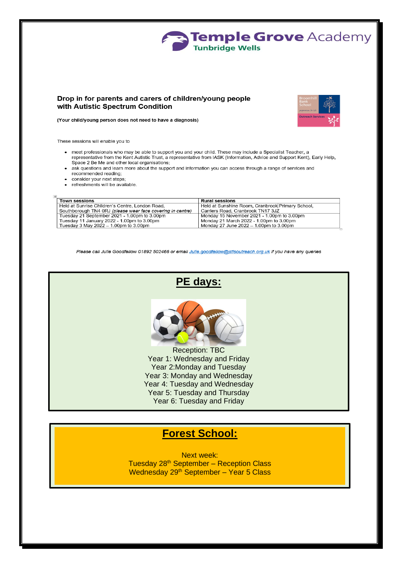

#### Drop in for parents and carers of children/young people with Autistic Spectrum Condition



(Your child/young person does not need to have a diagnosis)

These sessions will enable you to

- meet professionals who may be able to support you and your child. These may include a Specialist Teacher, a representative from the Kent Autistic Trust, a representative from IASK (Information, Advice and Support Kent), Early Help, Space 2 Be Me and other local organisations;
- ask questions and learn more about the support and information you can access through a range of services and recommended reading;
- consider your next steps;
- refreshments will be available.

| <b>Town sessions</b>                                       | <b>Rural sessions</b>                            |
|------------------------------------------------------------|--------------------------------------------------|
| Held at Sunrise Children's Centre, London Road,            | Held at Sunshine Room, Cranbrook Primary School, |
| Southborough TN4 0RJ (please wear face covering in centre) | Carriers Road, Cranbrook TN17 3JZ                |
| Tuesday 21 September 2021 - 1.00pm to 3.00pm               | Monday 15 November 2021 - 1.00pm to 3.00pm       |
| Tuesday 11 January 2022 - 1.00pm to 3.00pm                 | Monday 21 March 2022 - 1.00pm to 3.00pm          |
| Tuesday 3 May 2022 $-$ 1.00pm to 3.00pm                    | Monday 27 June 2022 – 1.00pm to 3.00pm           |

Please call Julie Goodfellow 01892 502466 or email Julie.goodfellow@stlsoutreach.org.uk if you have any queries



### **Forest School:**

**Next week:** Tuesday 28<sup>th</sup> September - Reception Class Wednesday 29th September - Year 5 Class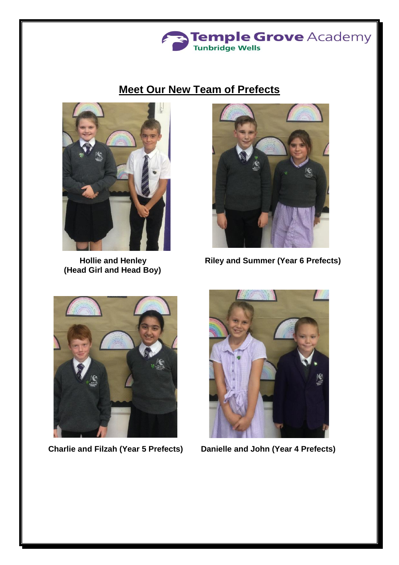![](_page_2_Picture_0.jpeg)

## **Meet Our New Team of Prefects**

![](_page_2_Picture_2.jpeg)

 **(Head Girl and Head Boy)**

![](_page_2_Picture_4.jpeg)

 **Hollie and Henley**  Riley and Summer (Year 6 Prefects)

![](_page_2_Picture_6.jpeg)

**Charlie and Filzah (Year 5 Prefects) Danielle and John (Year 4 Prefects)**

![](_page_2_Picture_8.jpeg)